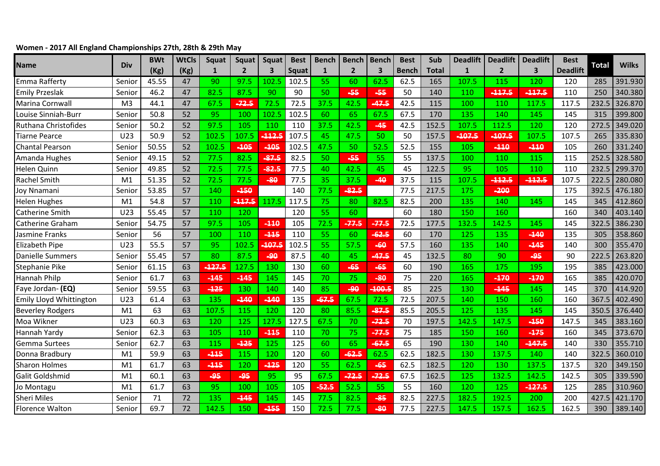## **Women - 2017 All England Championships 27th, 28th & 29th May**

| Name                    | Div            | <b>BWt</b> | <b>WtCls</b> | Squat        | <b>Squat</b>   | Squat    | <b>Best</b> | <b>Bench</b> | <b>Bench</b>   | <b>Bench</b> | <b>Best</b>  | Sub          | <b>Deadlift</b> | <b>Deadlift</b> | <b>Deadlift</b> | <b>Best</b>     | <b>Total</b> | <b>Wilks</b> |
|-------------------------|----------------|------------|--------------|--------------|----------------|----------|-------------|--------------|----------------|--------------|--------------|--------------|-----------------|-----------------|-----------------|-----------------|--------------|--------------|
|                         |                | (Kg)       | (Kg)         | $\mathbf{1}$ | $\overline{2}$ | 3        | Squat       | $\mathbf{1}$ | $\overline{2}$ | 3            | <b>Bench</b> | <b>Total</b> | $\mathbf{1}$    | $\overline{2}$  | 3               | <b>Deadlift</b> |              |              |
| Emma Rafferty           | Senior         | 45.55      | 47           | 90           | 97.5           | 102.5    | 102.5       | 55           | 60             | 62.5         | 62.5         | 165          | 107.5           | 115             | 120             | 120             | 285          | 391.930      |
| <b>Emily Przeslak</b>   | Senior         | 46.2       | 47           | 82.5         | 87.5           | 90       | 90          | 50           | $-55$          | $-55$        | 50           | 140          | 110             | $-117.5$        | $-117.5$        | 110             | 250          | 340.380      |
| Marina Cornwall         | M <sub>3</sub> | 44.1       | 47           | 67.5         | $-72.5$        | 72.5     | 72.5        | 37.5         | 42.5           | 47.5         | 42.5         | 115          | 100             | 110             | 117.5           | 117.5           | 232.5        | 326.870      |
| Louise Sinniah-Burr     | Senior         | 50.8       | 52           | 95           | 100            | 102.5    | 102.5       | 60           | 65             | 67.5         | 67.5         | 170          | 135             | 140             | 145             | 145             | 315          | 399.800      |
| Ruthana Christofides    | Senior         | 50.2       | 52           | 97.5         | 105            | 110      | 110         | 37.5         | 42.5           | $-45$        | 42.5         | 152.5        | 107.5           | 112.5           | 120             | 120             | 272.5        | 349.020      |
| <b>Tiarne Pearce</b>    | U23            | 50.9       | 52           | 102.5        | 107.5          | $-112.5$ | 107.5       | 45           | 47.5           | 50           | 50           | 157.5        | $-107.5$        | $-107.5$        | 107.5           | 107.5           | 265          | 335.830      |
| <b>Chantal Pearson</b>  | Senior         | 50.55      | 52           | 102.5        | -105           | -105     | 102.5       | 47.5         | 50             | 52.5         | 52.5         | 155          | 105             | -110            | $-110$          | 105             | 260          | 331.240      |
| Amanda Hughes           | Senior         | 49.15      | 52           | 77.5         | 82.5           | $-87.5$  | 82.5        | 50           | -55            | 55           | 55           | 137.5        | 100             | 110             | 115             | 115             | 252.5        | 328.580      |
| Helen Quinn             | Senior         | 49.85      | 52           | 72.5         | 77.5           | $-82.5$  | 77.5        | 40           | 42.5           | 45           | 45           | 122.5        | 95              | 105             | 110             | 110             | 232.5        | 299.370      |
| <b>Rachel Smith</b>     | M1             | 51.35      | 52           | 72.5         | 77.5           | $-80$    | 77.5        | 35           | 37.5           | $-40$        | 37.5         | 115          | 107.5           | $-112.5$        | $-112.5$        | 107.5           | 222.5        | 280.080      |
| Joy Nnamani             | Senior         | 53.85      | 57           | 140          | 450            |          | 140         | 77.5         | 82.5           |              | 77.5         | 217.5        | 175             | $-200$          |                 | 175             | 392.5        | 476.180      |
| <b>Helen Hughes</b>     | M1             | 54.8       | 57           | 110          | $-117.5$       | 117.5    | 117.5       | 75           | 80             | 82.5         | 82.5         | 200          | 135             | 140             | 145             | 145             | 345          | 412.860      |
| <b>Catherine Smith</b>  | U23            | 55.45      | 57           | 110          | 120            |          | 120         | 55           | 60             |              | 60           | 180          | 150             | 160             |                 | 160             | 340          | 403.140      |
| <b>Catherine Graham</b> | Senior         | 54.75      | 57           | 97.5         | 105            | $-110$   | 105         | 72.5         | $-77.5$        | $-77.5$      | 72.5         | 177.5        | 132.5           | 142.5           | 145             | 145             | 322.5        | 386.230      |
| Jasmine Franks          | Senior         | 56         | 57           | 100          | 110            | $-115$   | 110         | 55           | 60             | $-62.5$      | 60           | 170          | 125             | 135             | $-140$          | 135             | 305          | 358.860      |
| <b>Elizabeth Pipe</b>   | U23            | 55.5       | 57           | 95           | 102.5          | 107.5    | 102.5       | 55           | 57.5           | -60          | 57.5         | 160          | 135             | 140             | $-145$          | 140             | 300          | 355.470      |
| Danielle Summers        | Senior         | 55.45      | 57           | 80           | 87.5           | $-90$    | 87.5        | 40           | 45             | $-47.5$      | 45           | 132.5        | 80              | 90              | $-95$           | 90              | 222.5        | 263.820      |
| Stephanie Pike          | Senior         | 61.15      | 63           | $-127.5$     | 127.5          | 130      | 130         | 60           | $-65$          | $-65$        | 60           | 190          | 165             | 175             | 195             | 195             | 385          | 423.000      |
| <b>Hannah Philp</b>     | Senior         | 61.7       | 63           | $-145$       | $-445$         | 145      | 145         | 70           | 75             | $-80$        | 75           | 220          | 165             | $-170$          | $-170$          | 165             | 385          | 420.070      |
| Faye Jordan- (EQ)       | Senior         | 59.55      | 63           | $-125$       | 130            | 140      | 140         | 85           | -90            | $-100.5$     | 85           | 225          | 130             | $-145$          | 145             | 145             | 370          | 414.920      |
| Emily Lloyd Whittington | U23            | 61.4       | 63           | 135          | $-140$         | $-140$   | 135         | $-67.5$      | 67.5           | 72.5         | 72.5         | 207.5        | 140             | 150             | 160             | 160             | 367.5        | 402.490      |
| <b>Beverley Rodgers</b> | M <sub>1</sub> | 63         | 63           | 107.5        | 115            | 120      | 120         | 80           | 85.5           | $-87.5$      | 85.5         | 205.5        | 125             | 135             | 145             | 145             | 350.5        | 376.440      |
| Moa Wikner              | U23            | 60.3       | 63           | 120          | 125            | 127.5    | 127.5       | 67.5         | 70             | $-72.5$      | 70           | 197.5        | 142.5           | 147.5           | $-150$          | 147.5           | 345          | 383.160      |
| Hannah Yardy            | Senior         | 62.3       | 63           | 105          | 110            | $-115$   | 110         | 70           | 75             | $-77.5$      | 75           | 185          | 150             | 160             | $-175$          | 160             | 345          | 373.670      |
| <b>Gemma Surtees</b>    | Senior         | 62.7       | 63           | 115          | $-125$         | 125      | 125         | 60           | 65             | $-67.5$      | 65           | 190          | 130             | 140             | $-147.5$        | 140             | 330          | 355.710      |
| Donna Bradbury          | M1             | 59.9       | 63           | $-115$       | 115            | 120      | 120         | 60           | 62.5           | 62.5         | 62.5         | 182.5        | 130             | 137.5           | 140             | 140             | 322.5        | 360.010      |
| <b>Sharon Holmes</b>    | M <sub>1</sub> | 61.7       | 63           | $-115$       | 120            | $-125$   | 120         | 55           | 62.5           | $-65$        | 62.5         | 182.5        | 120             | 130             | 137.5           | 137.5           | 320          | 349.150      |
| Galit Goldshmid         | M1             | 60.1       | 63           | -95          | -95            | 95       | 95          | 67.5         | $-72.5$        | $-72.5$      | 67.5         | 162.5        | 125             | 132.5           | 142.5           | 142.5           | 305          | 339.590      |
| Jo Montagu              | M1             | 61.7       | 63           | 95           | 100            | 105      | 105         | $-52.5$      | 52.5           | 55           | 55           | 160          | 120             | 125             | $-127.5$        | 125             | 285          | 310.960      |
| <b>Sheri Miles</b>      | Senior         | 71         | 72           | 135          | $-145$         | 145      | 145         | 77.5         | 82.5           | $-85$        | 82.5         | 227.5        | 182.5           | 192.5           | 200             | 200             | 427.5        | 421.170      |
| <b>Florence Walton</b>  | Senior         | 69.7       | 72           | 142.5        | 150            | -155     | 150         | 72.5         | 77.5           | $-80$        | 77.5         | 227.5        | 147.5           | 157.5           | 162.5           | 162.5           | 390          | 389.140      |